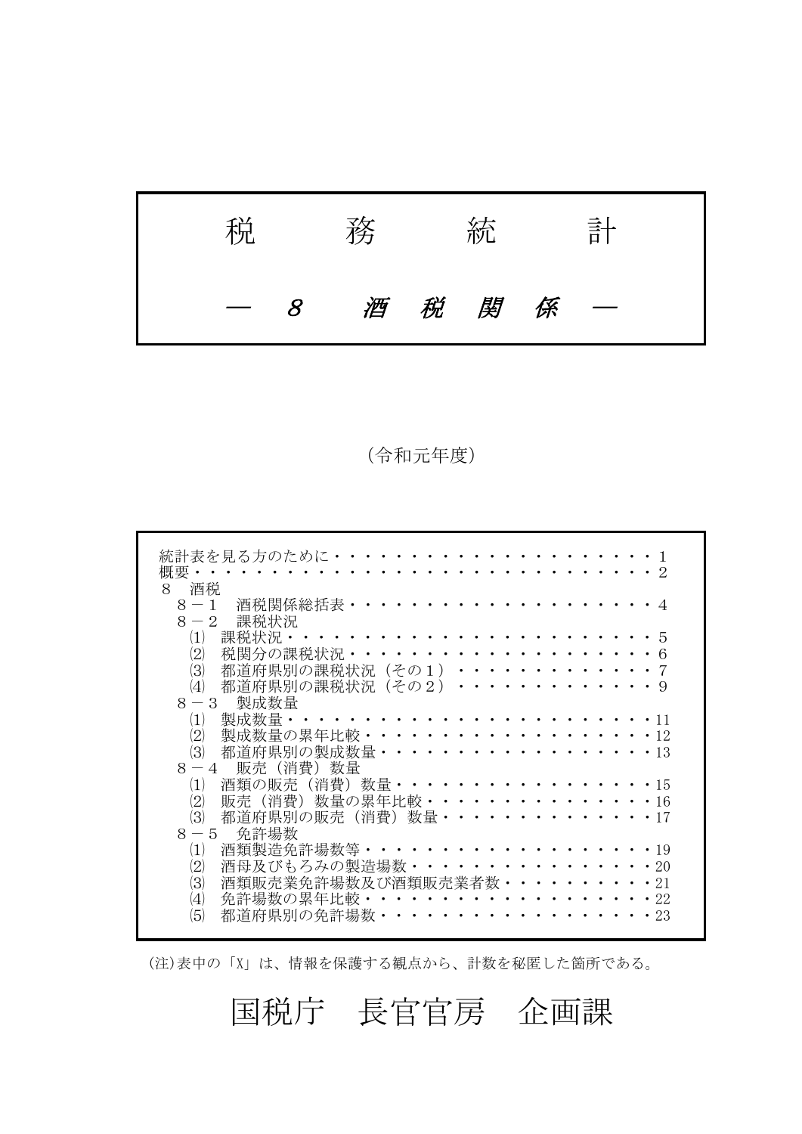| 税 |                                                           | 務 |   | 統 |   | 計 |
|---|-----------------------------------------------------------|---|---|---|---|---|
|   | $\mathcal{S}% _{M_{1},M_{2}}^{\alpha,\beta}(\varepsilon)$ | 酒 | 税 | 関 | 係 |   |

(令和元年度)

| 統計表を見る方のために・・・    |                                |  |  |  |  |            |                                                                                                                                     |  |  | . |  |  |     |                 |              |
|-------------------|--------------------------------|--|--|--|--|------------|-------------------------------------------------------------------------------------------------------------------------------------|--|--|---|--|--|-----|-----------------|--------------|
|                   |                                |  |  |  |  | . <b>.</b> |                                                                                                                                     |  |  |   |  |  |     |                 |              |
| 概要・               |                                |  |  |  |  | . <b>.</b> |                                                                                                                                     |  |  |   |  |  |     |                 |              |
| 8 酒税              |                                |  |  |  |  |            |                                                                                                                                     |  |  |   |  |  |     |                 |              |
| 8-1 酒税関係総括表・・・・   |                                |  |  |  |  |            |                                                                                                                                     |  |  |   |  |  |     |                 |              |
| $8-2$ 課税状況        |                                |  |  |  |  |            |                                                                                                                                     |  |  |   |  |  |     |                 |              |
| (1)               | 課税状況・・・                        |  |  |  |  |            |                                                                                                                                     |  |  |   |  |  |     | $\cdot \cdot 5$ |              |
| (2)               | 税関分の課税状況・                      |  |  |  |  |            |                                                                                                                                     |  |  |   |  |  | . 6 |                 |              |
|                   |                                |  |  |  |  |            |                                                                                                                                     |  |  |   |  |  |     |                 |              |
| (3)               | 都道府県別の課税状況(その1)・・・・・・・・・・・・?   |  |  |  |  |            |                                                                                                                                     |  |  |   |  |  |     |                 |              |
| (4)               | 都道府県別の課税状況(その2)・・・・・・・・・・・・・   |  |  |  |  |            |                                                                                                                                     |  |  |   |  |  |     |                 | - 9          |
| 8-3 製成数量          |                                |  |  |  |  |            |                                                                                                                                     |  |  |   |  |  |     |                 |              |
| (1)               | 製成数量・・・・・・・・・・・・・・・・・・・・・・・・・  |  |  |  |  |            |                                                                                                                                     |  |  |   |  |  |     |                 |              |
| (2)               | 製成数量の累年比較・                     |  |  |  |  |            |                                                                                                                                     |  |  |   |  |  |     |                 | . <u>1</u> 2 |
| (3)               | 都道府県別の製成数量・・・・・・・・・・・・・・・・・・13 |  |  |  |  |            |                                                                                                                                     |  |  |   |  |  |     |                 |              |
| 8-4 販売(消費)数量      |                                |  |  |  |  |            |                                                                                                                                     |  |  |   |  |  |     |                 |              |
|                   |                                |  |  |  |  |            |                                                                                                                                     |  |  |   |  |  |     |                 |              |
| (1)               | 酒類の販売(消費)数量・・・・・・・・・・・・・・・・・15 |  |  |  |  |            |                                                                                                                                     |  |  |   |  |  |     |                 |              |
| (2)               | 販売(消費)数量の累年比較・・・・・・・・・・・・・・・16 |  |  |  |  |            |                                                                                                                                     |  |  |   |  |  |     |                 |              |
| (3)               | 都道府県別の販売(消費)数量・・・・・・・・・・・・・・17 |  |  |  |  |            |                                                                                                                                     |  |  |   |  |  |     |                 |              |
| $8-5$ 免許場数        |                                |  |  |  |  |            |                                                                                                                                     |  |  |   |  |  |     |                 |              |
| $\left( 1\right)$ | 酒類製造免許場数等·                     |  |  |  |  |            | $\begin{array}{cccccccccccccc} \bullet & \bullet & \bullet & \bullet & \bullet & \bullet & \bullet & \bullet & \bullet \end{array}$ |  |  |   |  |  |     |                 | . 19         |
| $\left( 2\right)$ | 酒母及びもろみの製造場数・・・・・・・・・・・・・・・・20 |  |  |  |  |            |                                                                                                                                     |  |  |   |  |  |     |                 |              |
|                   |                                |  |  |  |  |            |                                                                                                                                     |  |  |   |  |  |     |                 |              |
| (3)               | 酒類販売業免許場数及び酒類販売業者数・・・・・・・・・・21 |  |  |  |  |            |                                                                                                                                     |  |  |   |  |  |     |                 |              |
| $\left( 4\right)$ | 免許場数の累年比較・                     |  |  |  |  | .          |                                                                                                                                     |  |  |   |  |  |     |                 | . 22         |
| (5)               | 都道府県別の免許場数・                    |  |  |  |  | .          |                                                                                                                                     |  |  |   |  |  |     |                 | . 23         |

(注)表中の「X」は、情報を保護する観点から、計数を秘匿した箇所である。

国税庁 長官官房 企画課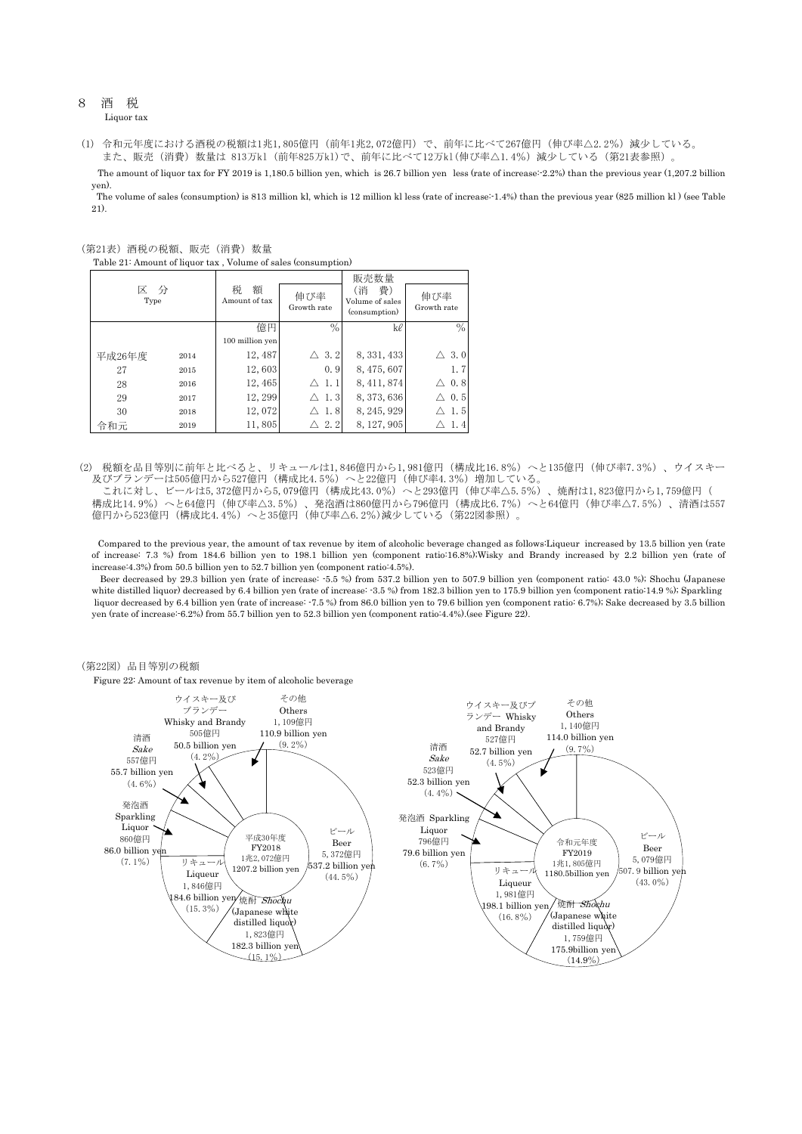## 8 酒 税

Liquor tax

 令和元年度における酒税の税額は1兆1,805億円(前年1兆2,072億円)で、前年に比べて267億円(伸び率△2.2%)減少している。 (1) また、販売(消費)数量は 813万kl (前年825万kl)で、前年に比べて12万kl(伸び率△1.4%)減少している(第21表参照)。

The amount of liquor tax for FY 2019 is 1,180.5 billion yen, which is 26.7 billion yen less (rate of increase:-2.2%) than the previous year (1,207.2 billion yen).

The volume of sales (consumption) is 813 million kl, which is 12 million kl less (rate of increase:-1.4%) than the previous year (825 million kl ) (see Table 21).

|  | (第21表)酒税の税額、販売(消費)数量                                          |  |  |
|--|---------------------------------------------------------------|--|--|
|  | Table 21: Amount of liquor tax, Volume of sales (consumption) |  |  |

| 区<br>Type | 分    | 税<br>額<br>Amount of tax | 伸び率<br>Growth rate | 販売数量<br>書)<br>(消<br>Volume of sales<br>(consumption) | 伸び率<br>Growth rate |
|-----------|------|-------------------------|--------------------|------------------------------------------------------|--------------------|
|           |      | 億円                      | $\frac{0}{0}$      | kl                                                   | $\frac{0}{0}$      |
|           |      | 100 million yen         |                    |                                                      |                    |
| 平成26年度    | 2014 | 12, 487                 | $\triangle$ 3.2    | 8, 331, 433                                          | 3.0<br>Λ           |
| 27        | 2015 | 12,603                  | 0.9                | 8, 475, 607                                          | 1.7                |
| 28        | 2016 | 12, 465                 | $\triangle$ 1.1    | 8, 411, 874                                          | 0.8<br>л           |
| 29        | 2017 | 12, 299                 | $\triangle$ 1.3    | 8, 373, 636                                          | 0.5<br>Λ           |
| 30        | 2018 | 12,072                  | $\triangle$ 1.8    | 8, 245, 929                                          | 1.5                |
| 令和元       | 2019 | 11,805                  | $\triangle$ 2.2    | 8, 127, 905                                          | Λ<br>1.4           |

(2) 税額を品目等別に前年と比べると、リキュールは1,846億円から1,981億円 (構成比16.8%) へと135億円 (伸び率7.3%) 、ウイスキー 及びブランデーは505億円から527億円(構成比4.5%)へと22億円(伸び率4.3%)増加している。

 これに対し、ビールは5,372億円から5,079億円(構成比43.0%)へと293億円(伸び率△5.5%)、焼酎は1,823億円から1,759億円( 構成比14.9%)へと64億円(伸び率△3.5%)、発泡酒は860億円から796億円(構成比6.7%)へと64億円(伸び率△7.5%)、清酒は557 億円から523億円(構成比4.4%)へと35億円(伸び率△6.2%)減少している(第22図参照)。

Compared to the previous year, the amount of tax revenue by item of alcoholic beverage changed as follows:Liqueur increased by 13.5 billion yen (rate of increase: 7.3 %) from 184.6 billion yen to 198.1 billion yen (component ratio:16.8%);Wisky and Brandy increased by 2.2 billion yen (rate of increase:4.3%) from 50.5 billion yen to 52.7 billion yen (component ratio:4.5%).

Beer decreased by 29.3 billion yen (rate of increase: -5.5 %) from 537.2 billion yen to 507.9 billion yen (component ratio: 43.0 %); Shochu (Japanese white distilled liquor) decreased by 6.4 billion yen (rate of increase: -3.5 %) from 182.3 billion yen to 175.9 billion yen (component ratio:14.9 %); Sparkling liquor decreased by 6.4 billion yen (rate of increase: -7.5 %) from 86.0 billion yen to 79.6 billion yen (component ratio: 6.7%); Sake decreased by 3.5 billion yen (rate of increase:-6.2%) from 55.7 billion yen to 52.3 billion yen (component ratio:4.4%).(see Figure 22).



(第22図)品目等別の税額

Figure 22: Amount of tax revenue by item of alcoholic beverage